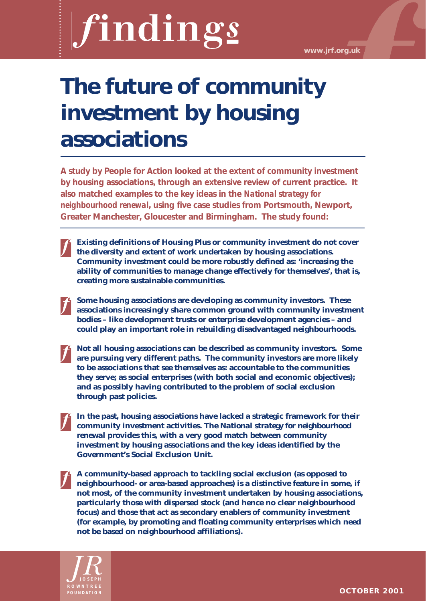**www.jrf.org.uk**

# **The future of community investment by housing associations**

**A study by People for Action looked at the extent of community investment by housing associations, through an extensive review of current practice. It also matched examples to the key ideas in the** *National strategy for neighbourhood renewal***, using five case studies from Portsmouth, Newport, Greater Manchester, Gloucester and Birmingham. The study found:**

**Existing definitions of Housing Plus or community investment do not cover the diversity and extent of work undertaken by housing associations. Community investment could be more robustly defined as: 'increasing the ability of communities to manage change effectively for themselves', that is, creating more sustainable communities.**

**Some housing associations are developing as community investors. These associations increasingly share common ground with community investment bodies – like development trusts or enterprise development agencies – and could play an important role in rebuilding disadvantaged neighbourhoods.** 

- **Not all housing associations can be described as community investors. Some are pursuing very different paths. The community investors are more likely to be associations that see themselves as: accountable to the communities they serve; as social enterprises (with both social and economic objectives); and as possibly having contributed to the problem of social exclusion through past policies.**
- **In the past, housing associations have lacked a strategic framework for their community investment activities. The** *National strategy for neighbourhood renewal* **provides this, with a very good match between community investment by housing associations and the key ideas identified by the Government's Social Exclusion Unit.**
- **A community-based approach to tackling social exclusion (as opposed to neighbourhood- or area-based approaches) is a distinctive feature in some, if not most, of the community investment undertaken by housing associations, particularly those with dispersed stock (and hence no clear neighbourhood focus) and those that act as secondary enablers of community investment (for example, by promoting and floating community enterprises which need not be based on neighbourhood affiliations).**

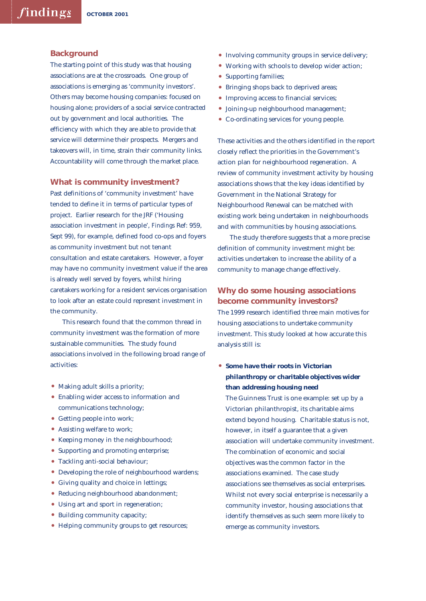#### **Background**

The starting point of this study was that housing associations are at the crossroads. One group of associations is emerging as 'community investors'. Others may become housing companies: focused on housing alone; providers of a social service contracted out by government and local authorities. The efficiency with which they are able to provide that service will determine their prospects. Mergers and takeovers will, in time, strain their community links. Accountability will come through the market place.

#### **What is community investment?**

Past definitions of 'community investment' have tended to define it in terms of particular types of project. Earlier research for the JRF ('Housing association investment in people', *Findings* Ref: 959, Sept 99), for example, defined food co-ops and foyers as community investment but not tenant consultation and estate caretakers. However, a foyer may have no community investment value if the area is already well served by foyers, whilst hiring caretakers working for a resident services organisation to look after an estate could represent investment in the community.

This research found that the common thread in community investment was the formation of more sustainable communities. The study found associations involved in the following broad range of activities:

- Making adult skills a priority;
- Enabling wider access to information and communications technology;
- Getting people into work;
- Assisting welfare to work;
- Keeping money in the neighbourhood;
- Supporting and promoting enterprise;
- Tackling anti-social behaviour;
- Developing the role of neighbourhood wardens;
- Giving quality and choice in lettings;
- Reducing neighbourhood abandonment;
- Using art and sport in regeneration;
- Building community capacity;
- Helping community groups to get resources;
- Involving community groups in service delivery;
- Working with schools to develop wider action;
- Supporting families;
- Bringing shops back to deprived areas;
- Improving access to financial services:
- Joining-up neighbourhood management;
- Co-ordinating services for young people.

These activities and the others identified in the report closely reflect the priorities in the Government's action plan for neighbourhood regeneration. A review of community investment activity by housing associations shows that the key ideas identified by Government in the National Strategy for Neighbourhood Renewal can be matched with existing work being undertaken in neighbourhoods and with communities by housing associations.

The study therefore suggests that a more precise definition of community investment might be: activities undertaken to increase the ability of a community to manage change effectively.

# **Why do some housing associations become community investors?**

The 1999 research identified three main motives for housing associations to undertake community investment. This study looked at how accurate this analysis still is:

• **Some have their roots in Victorian philanthropy or charitable objectives wider than addressing housing need**

The Guinness Trust is one example: set up by a Victorian philanthropist, its charitable aims extend beyond housing. Charitable status is not, however, in itself a guarantee that a given association will undertake community investment. The combination of economic and social objectives was the common factor in the associations examined. The case study associations see themselves as social enterprises. Whilst not every social enterprise is necessarily a community investor, housing associations that identify themselves as such seem more likely to emerge as community investors.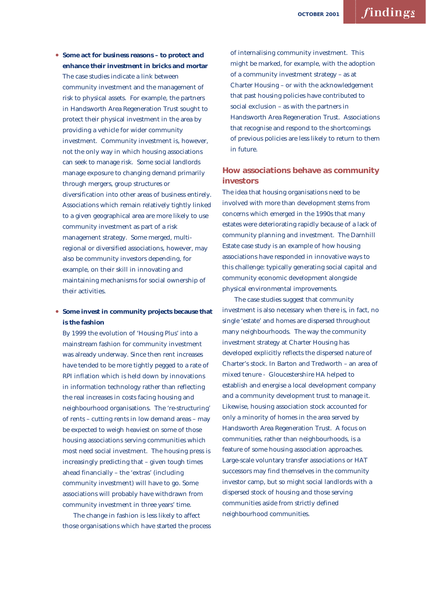• **Some act for business reasons – to protect and enhance their investment in bricks and mortar** The case studies indicate a link between community investment and the management of risk to physical assets. For example, the partners in Handsworth Area Regeneration Trust sought to protect their physical investment in the area by providing a vehicle for wider community investment. Community investment is, however, not the only way in which housing associations can seek to manage risk. Some social landlords manage exposure to changing demand primarily through mergers, group structures or diversification into other areas of business entirely. Associations which remain relatively tightly linked to a given geographical area are more likely to use community investment as part of a risk management strategy. Some merged, multiregional or diversified associations, however, may also be community investors depending, for example, on their skill in innovating and maintaining mechanisms for social ownership of their activities.

• **Some invest in community projects because that is the fashion** 

By 1999 the evolution of 'Housing Plus' into a mainstream fashion for community investment was already underway. Since then rent increases have tended to be more tightly pegged to a rate of RPI inflation which is held down by innovations in information technology rather than reflecting the real increases in costs facing housing and neighbourhood organisations. The 're-structuring' of rents – cutting rents in low demand areas – may be expected to weigh heaviest on some of those housing associations serving communities which most need social investment. The housing press is increasingly predicting that – given tough times ahead financially – the 'extras' (including community investment) will have to go. Some associations will probably have withdrawn from community investment in three years' time.

The change in fashion is less likely to affect those organisations which have started the process of internalising community investment. This might be marked, for example, with the adoption of a community investment strategy – as at Charter Housing – or with the acknowledgement that past housing policies have contributed to social exclusion – as with the partners in Handsworth Area Regeneration Trust. Associations that recognise and respond to the shortcomings of previous policies are less likely to return to them in future.

## **How associations behave as community investors**

The idea that housing organisations need to be involved with more than development stems from concerns which emerged in the 1990s that many estates were deteriorating rapidly because of a lack of community planning and investment. The Darnhill Estate case study is an example of how housing associations have responded in innovative ways to this challenge: typically generating social capital and community economic development alongside physical environmental improvements.

The case studies suggest that community investment is also necessary when there is, in fact, no single 'estate' and homes are dispersed throughout many neighbourhoods. The way the community investment strategy at Charter Housing has developed explicitly reflects the dispersed nature of Charter's stock. In Barton and Tredworth – an area of mixed tenure - Gloucestershire HA helped to establish and energise a local development company and a community development trust to manage it. Likewise, housing association stock accounted for only a minority of homes in the area served by Handsworth Area Regeneration Trust. A focus on communities, rather than neighbourhoods, is a feature of some housing association approaches. Large-scale voluntary transfer associations or HAT successors may find themselves in the community investor camp, but so might social landlords with a dispersed stock of housing and those serving communities aside from strictly defined neighbourhood communities.